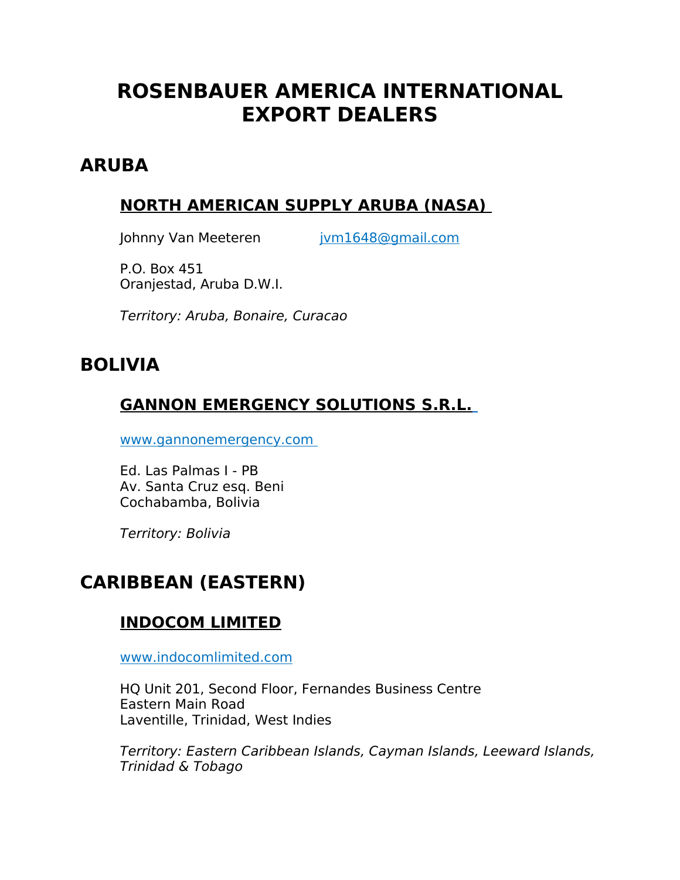# **ROSENBAUER AMERICA INTERNATIONAL EXPORT DEALERS**

### **ARUBA**

#### **NORTH AMERICAN SUPPLY ARUBA (NASA)**

Johnny Van Meeteren ivm1648@gmail.com

P.O. Box 451 Oranjestad, Aruba D.W.I.

Territory: Aruba, Bonaire, Curacao

# **BOLIVIA**

### **GANNON EMERGENCY SOLUTIONS S.R.L.**

 [www.gannonemergency.com](http://www.gannonemergency.com/)

Ed. Las Palmas I - PB Av. Santa Cruz esq. Beni Cochabamba, Bolivia

Territory: Bolivia

# **CARIBBEAN (EASTERN)**

### **INDOCOM LIMITED**

www.indocomlimited.com

HQ Unit 201, Second Floor, Fernandes Business Centre Eastern Main Road Laventille, Trinidad, West Indies

Territory: Eastern Caribbean Islands, Cayman Islands, Leeward Islands, Trinidad & Tobago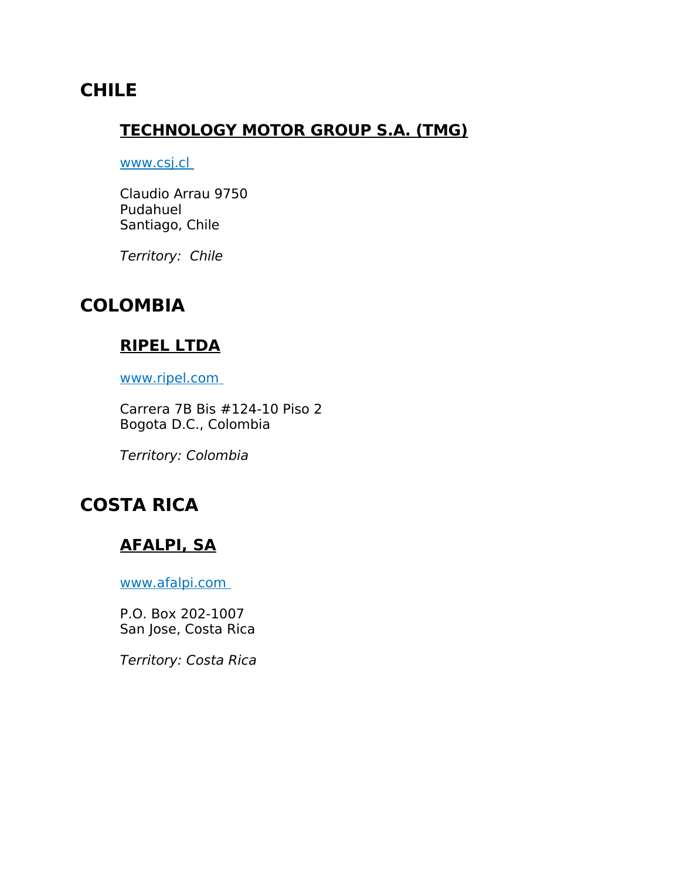# **CHILE**

#### **TECHNOLOGY MOTOR GROUP S.A. (TMG)**

#### www.csj.cl

Claudio Arrau 9750 Pudahuel Santiago, Chile

Territory: Chile

#### **COLOMBIA**

#### **RIPEL LTDA**

www.ripel.com

Carrera 7B Bis #124-10 Piso 2 Bogota D.C., Colombia

Territory: Colombia

# **COSTA RICA**

#### **AFALPI, SA**

www.afalpi.com

P.O. Box 202-1007 San Jose, Costa Rica

Territory: Costa Rica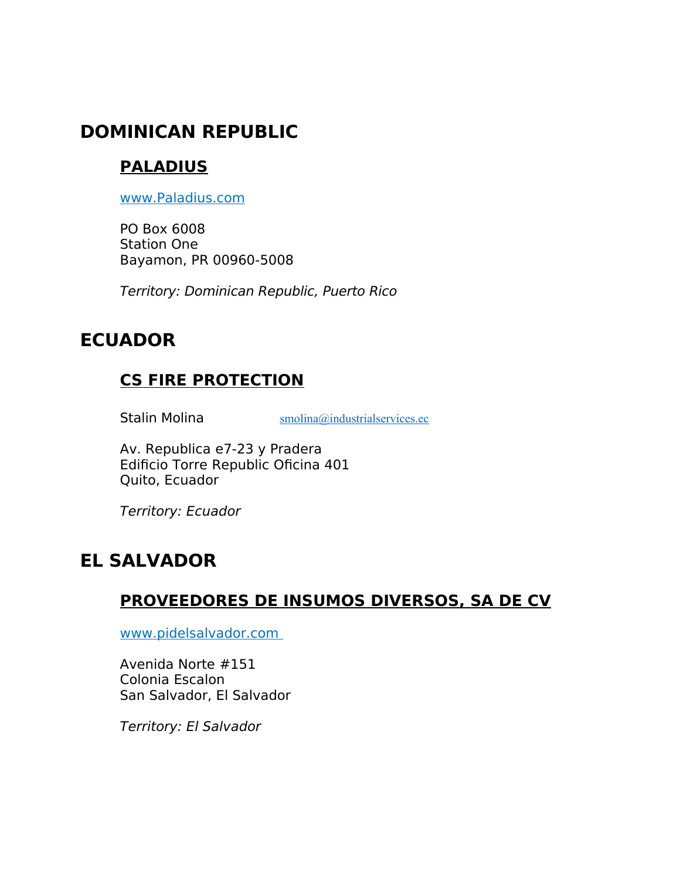# **DOMINICAN REPUBLIC**

# **PALADIUS**

[www.Paladius.com](http://www.Paladius.com/)

PO Box 6008 Station One Bayamon, PR 00960-5008

Territory: Dominican Republic, Puerto Rico

# **ECUADOR**

### **CS FIRE PROTECTION**

Stalin Molina **Stalin Molina** [smolina@industrialservices.ec](mailto:smolina@industrialservices.ec)

Av. Republica e7-23 y Pradera Edificio Torre Republic Oficina 401 Quito, Ecuador

Territory: Ecuador

# **EL SALVADOR**

#### **PROVEEDORES DE INSUMOS DIVERSOS, SA DE CV**

www.pidelsalvador.com

Avenida Norte #151 Colonia Escalon San Salvador, El Salvador

Territory: El Salvador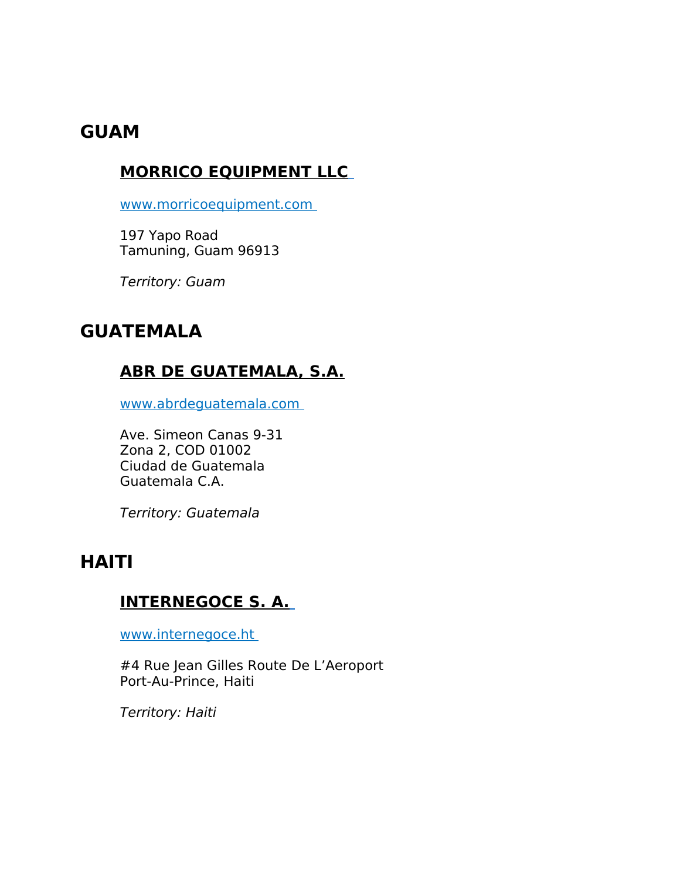### **GUAM**

#### **MORRICO EQUIPMENT LLC**

www.morricoequipment.com

197 Yapo Road Tamuning, Guam 96913

Territory: Guam

### **GUATEMALA**

#### **ABR DE GUATEMALA, S.A.**

www.abrdeguatemala.com

Ave. Simeon Canas 9-31 Zona 2, COD 01002 Ciudad de Guatemala Guatemala C.A.

Territory: Guatemala

# **HAITI**

### **INTERNEGOCE S. A.**

www.internegoce.ht

#4 Rue Jean Gilles Route De L'Aeroport Port-Au-Prince, Haiti

Territory: Haiti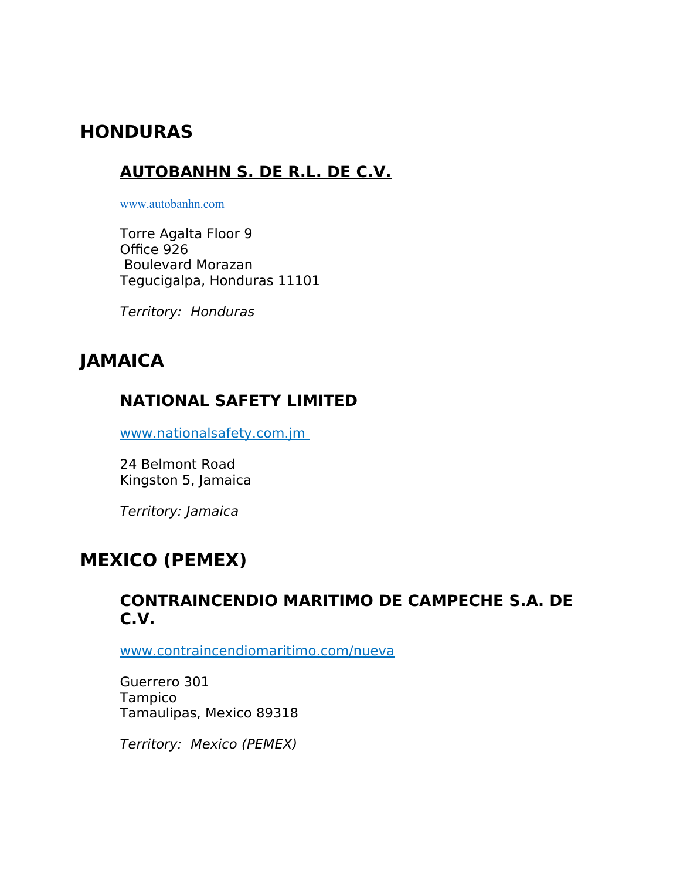# **HONDURAS**

### **AUTOBANHN S. DE R.L. DE C.V.**

[www.autobanhn.com](http://www.autobanhn.com/)

Torre Agalta Floor 9 Office 926 Boulevard Morazan Tegucigalpa, Honduras 11101

Territory: Honduras

# **JAMAICA**

#### **NATIONAL SAFETY LIMITED**

www.nationalsafety.com.jm

24 Belmont Road Kingston 5, Jamaica

Territory: Jamaica

# **MEXICO (PEMEX)**

#### **CONTRAINCENDIO MARITIMO DE CAMPECHE S.A. DE C.V.**

[www.contraincendiomaritimo.com/nueva](http://www.contraincendiomaritimo.com/nueva)

Guerrero 301 Tampico Tamaulipas, Mexico 89318

Territory: Mexico (PEMEX)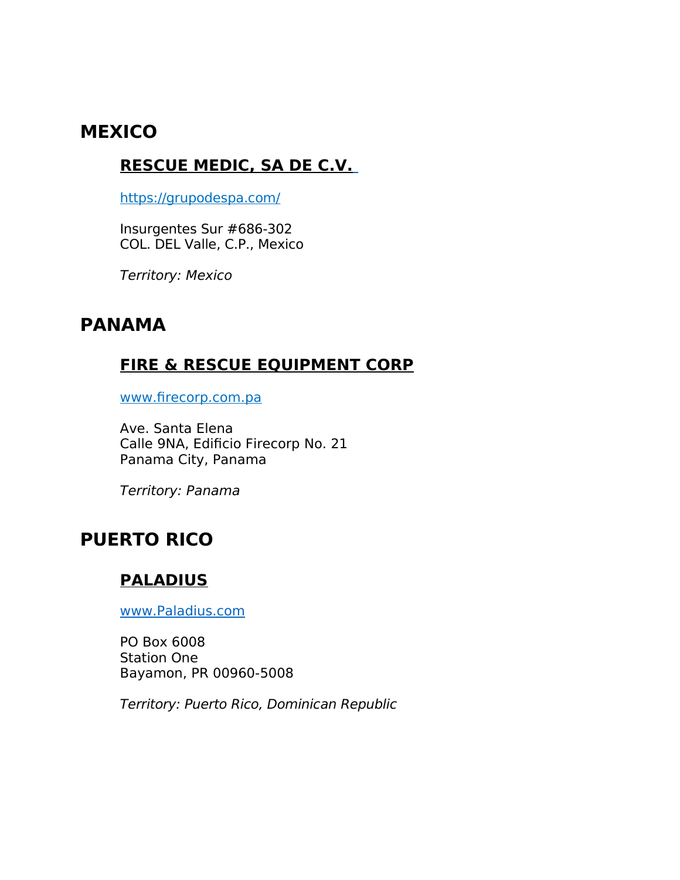# **MEXICO**

#### **RESCUE MEDIC, SA DE C.V.**

<https://grupodespa.com/>

Insurgentes Sur #686-302 COL. DEL Valle, C.P., Mexico

Territory: Mexico

### **PANAMA**

### **FIRE & RESCUE EQUIPMENT CORP**

www.firecorp.com.pa

Ave. Santa Elena Calle 9NA, Edificio Firecorp No. 21 Panama City, Panama

Territory: Panama

# **PUERTO RICO**

#### **PALADIUS**

[www.Paladius.com](http://www.Paladius.com/)

PO Box 6008 Station One Bayamon, PR 00960-5008

Territory: Puerto Rico, Dominican Republic